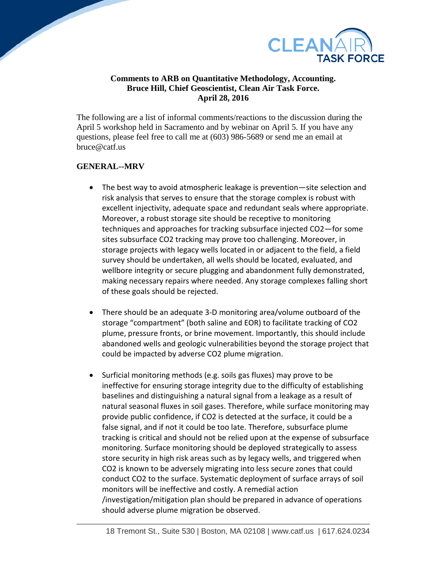

## **Comments to ARB on Quantitative Methodology, Accounting. Bruce Hill, Chief Geoscientist, Clean Air Task Force. April 28, 2016**

The following are a list of informal comments/reactions to the discussion during the April 5 workshop held in Sacramento and by webinar on April 5. If you have any questions, please feel free to call me at (603) 986-5689 or send me an email at bruce@catf.us

## **GENERAL--MRV**

- The best way to avoid atmospheric leakage is prevention—site selection and risk analysis that serves to ensure that the storage complex is robust with excellent injectivity, adequate space and redundant seals where appropriate. Moreover, a robust storage site should be receptive to monitoring techniques and approaches for tracking subsurface injected CO2—for some sites subsurface CO2 tracking may prove too challenging. Moreover, in storage projects with legacy wells located in or adjacent to the field, a field survey should be undertaken, all wells should be located, evaluated, and wellbore integrity or secure plugging and abandonment fully demonstrated, making necessary repairs where needed. Any storage complexes falling short of these goals should be rejected.
- There should be an adequate 3-D monitoring area/volume outboard of the storage "compartment" (both saline and EOR) to facilitate tracking of CO2 plume, pressure fronts, or brine movement. Importantly, this should include abandoned wells and geologic vulnerabilities beyond the storage project that could be impacted by adverse CO2 plume migration.
- Surficial monitoring methods (e.g. soils gas fluxes) may prove to be ineffective for ensuring storage integrity due to the difficulty of establishing baselines and distinguishing a natural signal from a leakage as a result of natural seasonal fluxes in soil gases. Therefore, while surface monitoring may provide public confidence, if CO2 is detected at the surface, it could be a false signal, and if not it could be too late. Therefore, subsurface plume tracking is critical and should not be relied upon at the expense of subsurface monitoring. Surface monitoring should be deployed strategically to assess store security in high risk areas such as by legacy wells, and triggered when CO2 is known to be adversely migrating into less secure zones that could conduct CO2 to the surface. Systematic deployment of surface arrays of soil monitors will be ineffective and costly. A remedial action /investigation/mitigation plan should be prepared in advance of operations should adverse plume migration be observed.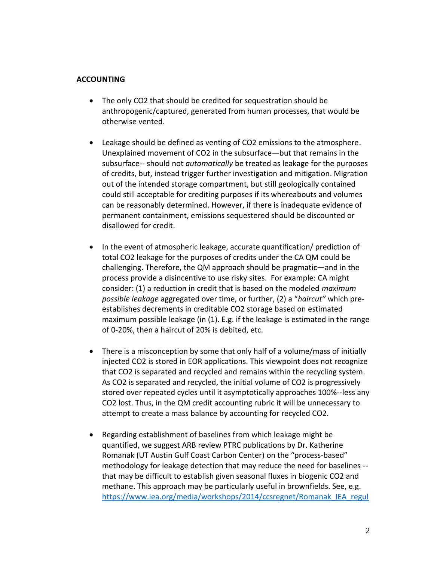## **ACCOUNTING**

- The only CO2 that should be credited for sequestration should be anthropogenic/captured, generated from human processes, that would be otherwise vented.
- Leakage should be defined as venting of CO2 emissions to the atmosphere. Unexplained movement of CO2 in the subsurface—but that remains in the subsurface-- should not *automatically* be treated as leakage for the purposes of credits, but, instead trigger further investigation and mitigation. Migration out of the intended storage compartment, but still geologically contained could still acceptable for crediting purposes if its whereabouts and volumes can be reasonably determined. However, if there is inadequate evidence of permanent containment, emissions sequestered should be discounted or disallowed for credit.
- In the event of atmospheric leakage, accurate quantification/ prediction of total CO2 leakage for the purposes of credits under the CA QM could be challenging. Therefore, the QM approach should be pragmatic—and in the process provide a disincentive to use risky sites. For example: CA might consider: (1) a reduction in credit that is based on the modeled *maximum possible leakage* aggregated over time, or further, (2) a "*haircut"* which preestablishes decrements in creditable CO2 storage based on estimated maximum possible leakage (in (1). E.g. if the leakage is estimated in the range of 0-20%, then a haircut of 20% is debited, etc.
- There is a misconception by some that only half of a volume/mass of initially injected CO2 is stored in EOR applications. This viewpoint does not recognize that CO2 is separated and recycled and remains within the recycling system. As CO2 is separated and recycled, the initial volume of CO2 is progressively stored over repeated cycles until it asymptotically approaches 100%--less any CO2 lost. Thus, in the QM credit accounting rubric it will be unnecessary to attempt to create a mass balance by accounting for recycled CO2.
- Regarding establishment of baselines from which leakage might be quantified, we suggest ARB review PTRC publications by Dr. Katherine Romanak (UT Austin Gulf Coast Carbon Center) on the "process-based" methodology for leakage detection that may reduce the need for baselines - that may be difficult to establish given seasonal fluxes in biogenic CO2 and methane. This approach may be particularly useful in brownfields. See, e.g. [https://www.iea.org/media/workshops/2014/ccsregnet/Romanak\\_IEA\\_regul](https://www.iea.org/media/workshops/2014/ccsregnet/Romanak_IEA_regulatory.pdf)